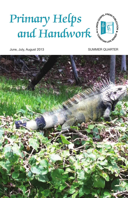# Primary Helps and Handwork



June, July, August 2013 **SUMMER QUARTER** 

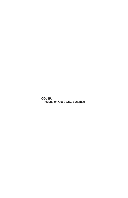COVER: Iguana on Coco Cay, Bahamas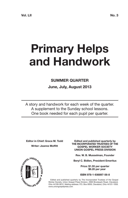# **Primary Helps and Handwork**

#### **SUMMER QUARTER**

**June, July, August 2013**

A story and handwork for each week of the quarter. A supplement to the Sunday school lessons. One book needed for each pupil per quarter.

**Editor in Chief: Grace M. Todd Writer: Jeanne Moffitt**

**SOSIEL PRESS** 

**Edited and published quarterly by THE INCORPORATED TRUSTEES OF THE GOSPEL WORKER SOCIETY UNION GOSPEL PRESS DIVISION**

**Rev. W. B. Musselman, Founder**

**Beryl C. Bidlen, President Emeritus**

**Price: \$1.55 per quarter \$6.20 per year**

**ISBN 978-1-936897-56-8**

Edited and published quarterly by The Incorporated Trustees of the Gospel Worker Society, Union Gospel Press Division, 2000 Brookpark Road, Cleveland, Ohio 44109-5812. Mailing address: P.O. Box 6059, Cleveland, Ohio 44101-1059. www.uniongospelpress.com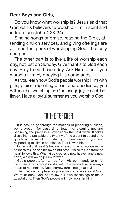#### **Dear Boys and Girls,**

Do you know what worship is? Jesus said that God wants believers to worship Him in spirit and in truth (see John 4:23-24).

Singing songs of praise, reading the Bible, attending church services, and giving offerings are all important parts of worshipping God—but only one part.

The other part is to live a life of worship each day, not just on Sunday. Give thanks to God each day. Pray to God each day. Ask Him to help you worship Him by obeying His commands.

As you learn how God's people worship Him with gifts, praise, repenting of sin, and obedience, you will see that worshipping God brings joy to each believer. Have a joyful summer as you worship God.

# TOTHE TEACHER

It is easy to go through the motions of preparing a lesson, being present for class time, teaching, cleaning up, and beginning the process all over again the next week. It takes discipline to put aside the tyranny of the urgent to spend time quietly alone with God, listening to Him speak to you and responding to Him in obedience. That is worship!

In the first unit Isaiah's beginning lesson was to recognize the holiness of God and his own sinfulness. Praise to God from the heart follows this. When God creates a new heaven and a new earth, we will worship Him forever!

God's people often turned from His commands to sinful living. Renewal of worship, studied in the second unit, is always a part of repentance. Deep sorrow turns into great joy!

The third unit emphasizes protecting pure worship of God. We must obey God, not follow our own reasonings or make adaptations. Then God's people will truly worship Him.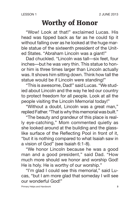### **Worthy of Honor**

"Wow! Look at that!" exclaimed Lucas. His head was tipped back as far as he could tip it without falling over as he looked at the huge marble statue of the sixteenth president of the United States. "Abraham Lincoln was a giant!"

Dad chuckled. "Lincoln was tall—six feet, four inches—but he was very thin. This statue to honor him is three times larger than Lincoln actually was. It shows him sitting down. Think how tall the statue would be if Lincoln were standing!"

"This is awesome, Dad!" said Lucas. "We studied about Lincoln and the way he led our country to protect freedom for all people. Look at all the people visiting the Lincoln Memorial today!"

"Without a doubt, Lincoln was a great man," replied Father. "That is why this memorial was built."

"The beauty and grandeur of this place is really eye-catching," Mom commented quietly as she looked around at the building and the glasslike surface of the Reflecting Pool in front of it, "but it is nothing compared to what Isaiah saw in a vision of God" (see Isaiah 6:1-8).

"We honor Lincoln because he was a good man and a good president," said Dad. "How much more should we honor and worship God! He is holy. He is worthy of our worship."

"I'm glad I could see this memorial," said Lucas, "but I am more glad that someday I will see our wonderful God!"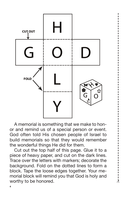

A memorial is something that we make to honor and remind us of a special person or event. God often told His chosen people of Israel to build memorials so that they would remember the wonderful things He did for them.

Cut out the top half of this page. Glue it to a piece of heavy paper, and cut on the dark lines. Trace over the letters with markers; decorate the background. Fold on the dotted lines to form a block. Tape the loose edges together. Your memorial block will remind you that God is holy and worthy to be honored.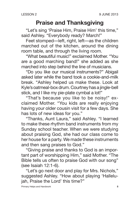#### **Praise and Thanksgiving**

"Let's sing 'Praise Him, Praise Him' this time," said Ashley. "Everybody ready? March!"

Feet stomped—left, right, left—as the children marched out of the kitchen, around the dining room table, and through the living room.

"What beautiful music!" exclaimed Mother. "You are a good marching band!" she added as she marched into step behind the line of musicians.

"Do you like our musical instruments?" Abigail asked later while the band took a cookie-and-milk break. "Ashley helped us make these. Look at Kyle's oatmeal-box drum. Courtney has a jingle-bell stick, and I like my pie-plate cymbal a lot!"

"That's because you like to be noisy!" exclaimed Mother. "You kids are really enjoying having your older cousin visit for a few days. She has lots of new ideas for you."

"Thanks, Aunt Laura," said Ashley. "I learned to make these rhythm band instruments from my Sunday school teacher. When we were studying about praising God, she had our class come to her house for a party. We made these instruments and then sang praises to God."

"Giving praise and thanks to God is an important part of worshipping Him," said Mother. "The Bible tells us often to praise God with our song" (see Isaiah 12:1-6).

"Let's go next door and play for Mrs. Nichols," suggested Ashley. "How about playing 'Hallelujah, Praise the Lord' this time?"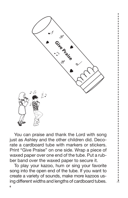

You can praise and thank the Lord with song just as Ashley and the other children did. Decorate a cardboard tube with markers or stickers. Print "Give Praise" on one side. Wrap a piece of waxed paper over one end of the tube. Put a rubber band over the waxed paper to secure it.

To play your kazoo, hum or sing your favorite song into the open end of the tube. If you want to create a variety of sounds, make more kazoos using different widths and lengths of cardboard tubes.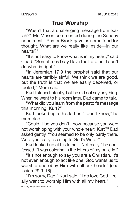#### **True Worship**

"Wasn't that a challenging message from Isaiah?" Mr. Mason commented during the Sunday noon meal. "Pastor Brock gave us some food for thought. What are we really like inside—in our hearts?"

"It's not easy to know what is in my heart," said Chad. "Sometimes I say I love the Lord but I don't do what is right."

"In Jeremiah 17:9 the prophet said that our hearts are terribly sinful. We think we are good, but the truth is that we are easily deceived, or fooled," Mom said.

Kurt listened intently, but he did not say anything. When he went to his room later, Dad came to talk.

"What did you learn from the pastor's message this morning, Kurt?"

Kurt looked up at his father. "I don't know," he mumbled.

"Could it be you don't know because you were not worshipping with your whole heart, Kurt?" Dad asked gently. "You seemed to be only partly there. Were you really listening to God's Word?"

Kurt looked up at his father. "Not really," he confessed. "I was coloring in the letters of my bulletin."

"It's not enough to say you are a Christian. It's not even enough to act like one. God wants us to worship and obey Him with all our hearts" (see Isaiah 29:9-16).

"I'm sorry, Dad," Kurt said. "I do love God. I really want to worship Him with all my heart."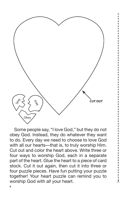

Some people say, "I love God," but they do not obey God. Instead, they do whatever they want to do. Every day we need to choose to love God with all our hearts—that is, to truly worship Him. Cut out and color the heart above. Write three or four ways to worship God, each in a separate part of the heart. Glue the heart to a piece of card stock. Cut it out again, then cut it into three or four puzzle pieces. Have fun putting your puzzle together! Your heart puzzle can remind you to worship God with *all* your heart.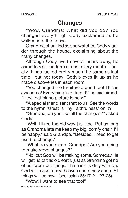#### **Changes**

"Wow, Grandma! What did you do? You changed everything!" Cody exclaimed as he walked into the house.

Grandma chuckled as she watched Cody wander through the house, exclaiming about the many changes.

Although Cody lived several hours away, he came to visit the farm almost every month. Usually things looked pretty much the same as last time—but not today! Cody's eyes lit up as he made discoveries in each room.

"You changed the furniture around too! This is awesome! Everything is different!" he exclaimed. "Hey, that piano picture is new."

"A special friend sent that to us. See the words to the hymn 'Great Is Thy Faithfulness' on it?"

"Grandpa, do you like all the changes?" asked Cody.

"Well, I liked the old way just fine. But as long as Grandma lets me keep my big, comfy chair, I'll be happy," said Grandpa. "Besides, I need to get used to change."

"What do you mean, Grandpa? Are you going to make *more* changes?"

"No, but *God* will be making some. Someday He will get rid of this old earth, just as Grandma got rid of our worn-out things. The earth is dirty with sin. God will make a new heaven and a new earth. All things will be new" (see Isaiah 65:17-21, 23-25).

"Wow! I want to see that too!"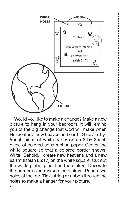

Would you like to make a change? Make a new picture to hang in your bedroom. It will remind you of the big change that God will make when He creates a new heaven and earth. Glue a 5-by-5-inch piece of white paper on an 8-by-8-inch piece of colored construction paper. Center the white square so that a colored border shows. Write "Behold, I create new heavens and a new earth" (Isaiah 65:17) on the white square. Cut out the world globe; glue it on the picture. Decorate the border using markers or stickers. Punch two holes at the top. Tie a string or ribbon through the holes to make a hanger for your picture.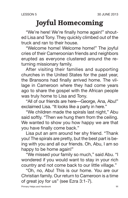# **Joyful Homecoming**

"We're here! We're finally home again!" shouted Lisa and Tony. They quickly climbed out of the truck and ran to their house.

"Welcome home! Welcome home!" The joyful cries of their Cameroonian friends and neighbors erupted as everyone clustered around the returning missionary family.

After visiting their families and supporting churches in the United States for the past year, the Bransons had finally arrived home. The village in Cameroon where they had come years ago to share the gospel with the African people was truly home to Lisa and Tony.

"All of our friends are here—George, Ana, Abu!" exclaimed Lisa. "It looks like a party in here."

"We children made the spirals last night," Abu said softly. "Then we hung them from the ceiling. We wanted to show you how happy we are that you have finally come back."

Lisa put an arm around her shy friend. "Thank you! The spirals are pretty, but the best part is being with you and all our friends. Oh, Abu, I am so happy to be home again!"

"We missed your family so much," said Abu. "I wondered if you would want to stay in your rich country and not come back to our little village."

"Oh, no, Abu! This is our home. You are our Christian family. Our return to Cameroon is a time of great joy for us" (see Ezra 3:1-7).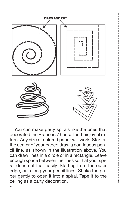

You can make party spirals like the ones that decorated the Bransons' house for their joyful return. Any size of colored paper will work. Start at the center of your paper; draw a continuous pencil line, as shown in the illustration above. You can draw lines in a circle or in a rectangle. Leave enough space between the lines so that your spiral does not tear easily. Starting from the outer edge, cut along your pencil lines. Shake the paper gently to open it into a spiral. Tape it to the ceiling as a party decoration.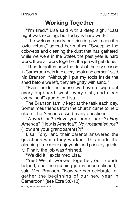#### **Working Together**

"I'm tired," Lisa said with a deep sigh. "Last night was exciting, but today is hard work."

"The welcome party our friends gave made it a joyful return," agreed her mother. "Sweeping the cobwebs and cleaning the dust that has gathered while we were in the States the past year is hard work. If we all work together, the job will get done."

"I had forgotten how the dust of the dry season in Cameroon gets into every nook and corner," said Mr. Branson. "Although I put my tools inside the shed before we left, they are gritty with sand."

"Even inside the house we have to wipe out every cupboard, wash every dish, and clean every inch!" grumbled Lisa.

The Branson family kept at the task each day. Sometimes friends from the church came to help clean. The Africans asked many questions.

"*A warti na*? (Have you come back?) *Noy America*? (How is America?) *Noy maama'en ma*? (How are your grandparents?)"

Lisa, Tony, and their parents answered the questions while they worked. This made the cleaning time more enjoyable and pass by quickly. Finally the job was finished.

"We did it!" exclaimed Lisa.

"Yes! We all worked together, our friends helped, and the cleaning job is accomplished," said Mrs. Branson. "Now we can celebrate together the beginning of our new year in Cameroon" (see Ezra 3:8-13).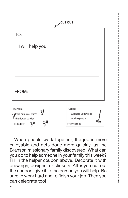

When people work together, the job is more enjoyable and gets done more quickly, as the Branson missionary family discovered. What can you do to help someone in your family this week? Fill in the helper coupon above. Decorate it with drawings, designs, or stickers. After you cut out the coupon, give it to the person you will help. Be sure to work hard and to finish your job. Then you can celebrate too!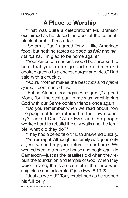### **A Place to Worship**

"That was quite a celebration!" Mr. Branson exclaimed as he closed the door of the cementblock church. "I'm stuffed!"

"So am I, Dad!" agreed Tony. "I like American food, but nothing tastes as good as *fufu* and *njama njama*. I'm glad to be home again!"

"Your American cousins would be surprised to hear that you prefer ground corn balls and cooked greens to a cheeseburger and fries," Dad said with a chuckle.

"Abu's mother makes the best *fufu* and *njama njama*," commented Lisa.

"Eating African food again was great," agreed Mom, "but the best part to me was worshipping God with our Cameroonian friends once again."

"Do you remember when we read about how the people of Israel returned to their own country?" asked Dad. "After Ezra and the people worked hard to rebuild the city walls and the temple, what did they do?"

"They had a celebration!" Lisa answered quickly.

"You are right! Although our family was gone only a year, we had a joyous return to our home. We worked hard to clean our house and begin again in Cameroon—just as the Israelites did when they rebuilt the foundation and temple of God. When they were finished, the Israelites met in their new worship place and celebrated" (see Ezra 6:13-22).

"Just as we did!" Tony exclaimed as he rubbed his full belly.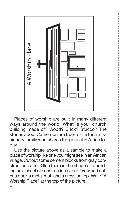

Places of worship are built in many different ways around the world. What is your church building made of? Wood? Brick? Stucco? The stories about Cameroon are true-to-life for a missionary family who shares the gospel in Africa today.

Use the picture above as a sample to make a place of worship like one you might see in an African village. Cut out some cement blocks from gray construction paper. Glue them in the shape of a building on a sheet of construction paper. Draw and color a door, a metal roof, and a cross on top. Write "A Worship Place" at the top of the picture.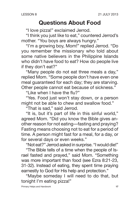#### **Questions About Food**

"I love pizza!" exclaimed Jerrod.

"I think you just like to eat," countered Jerrod's mother. "You boys are always hungry."

"I'm a growing boy, Mom!" replied Jerrod. "Do you remember the missionary who told about some native believers in the Philippine Islands who didn't have food to eat? How do people live if they don't eat?"

"Many people do not eat three meals a day," replied Mom. "Some people don't have even one meal guaranteed for each day; they are starving. Other people cannot eat because of sickness."

"Like when I have the flu?"

"Yes. Food just won't stay down, or a person might not be able to chew and swallow food."

"That is sad," said Jerrod.

"It is, but it's part of life in this sinful world," agreed Mom. "Did you know the Bible gives another reason for not eating—fasting and praying? Fasting means choosing not to eat for a period of time. A person might fast for a meal, for a day, or for several days or even weeks."

"Not eat?" Jerrod asked in surprise. "I would die!"

"The Bible tells of a time when the people of Israel fasted and prayed," said Mom. "Something was more important than food (see Ezra 8:21-23, 31-32). Instead of eating, they spent time praying earnestly to God for His help and protection."

"Maybe someday I will need to do that, but tonight I'm eating pizza!"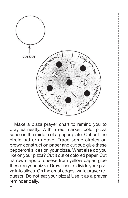

Make a pizza prayer chart to remind you to pray earnestly. With a red marker, color pizza sauce in the middle of a paper plate. Cut out the circle pattern above. Trace some circles on brown construction paper and cut out; glue these pepperoni slices on your pizza. What else do you like on your pizza? Cut it out of colored paper. Cut narrow strips of cheese from yellow paper; glue these on your pizza. Draw lines to divide your pizza into slices. On the crust edges, write prayer requests. Do not eat your pizza! Use it as a prayer reminder daily.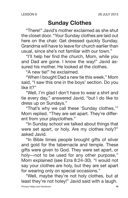#### **Sunday Clothes**

"There!" Javid's mother exclaimed as she shut the closet door. "Your Sunday clothes are laid out here on the chair. Get dressed quickly Sunday. Grandma will have to leave for church earlier than usual, since she's not familiar with our town."

"I'll help her find the church, Mom, while you and Dad are gone. I know the way!" Javid assured his mother. He looked at the clothes.

"A new tie!" he exclaimed.

"When I bought Dad a new tie this week," Mom said, "I saw this one in the boys' section. Do you like it?"

"Well, I'm glad I don't have to wear a shirt and tie every day," answered Javid, "but I do like to dress up on Sundays."

"That's why we call these 'Sunday clothes,'" Mom replied. "They are set apart. They're different from your playclothes."

"In Sunday school we talked about things that were set apart, or holy. Are my clothes holy?" asked Javid.

"In Bible times people brought gifts of silver and gold for the tabernacle and temple. These gifts were given to God. They were set apart, or holy—not to be used for any other purpose," Mom explained (see Ezra 8:24-30). "I would not say your clothes are holy, but they are set apart for wearing only on special occasions."

"Well, maybe they're not holy clothes, but at least they're not holey!" Javid said with a laugh.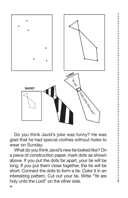

Do you think Javid's joke was funny? He was glad that he had special clothes without holes to wear on Sunday.

What do you think Javid's new tie looked like? On a piece of construction paper, mark dots as shown above. If you put the dots far apart, your tie will be long. If you put them close together, the tie will be short. Connect the dots to form a tie. Color it in an interesting pattern. Cut out your tie. Write "Ye are holy unto the Lord" on the other side.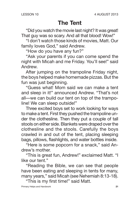#### **The Tent**

"Did you watch the movie last night? It was great! That guy was so scary. And all that blood! Wow!"

"I don't watch those kinds of movies, Matt. Our family loves God," said Andrew.

"How do you have any fun?"

"Ask your parents if you can come spend the night with Micah and me Friday. You'll see!" said Andrew.

After jumping on the trampoline Friday night, the boys helped make homemade pizzas. But the fun was just beginning.

"Guess what! Mom said we can make a tent and sleep in it!" announced Andrew. "That's not all—we can build our tent on top of the trampoline! We can sleep outside!"

Three excited boys set to work looking for ways to make a tent. First they pushed the trampoline under the clothesline. Then they put a couple of tall stools on either side. Blankets were draped over the clothesline and the stools. Carefully the boys crawled in and out of the tent, placing sleeping bags, pillows, flashlights, and water bottles inside.

"Here is some popcorn for a snack," said Andrew's mother.

"This is great fun, Andrew!" exclaimed Matt. "I like our tent."

"Reading the Bible, we can see that people have been eating and sleeping in tents for many, many years," said Micah (see Nehemiah 8:13-18).

"This is my first time!" said Matt.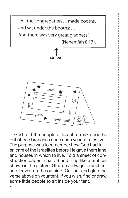

God told the people of Israel to make booths out of tree branches once each year at a festival. The purpose was to remember how God had taken care of the Israelites before He gave them land and houses in which to live. Fold a sheet of construction paper in half. Stand it up like a tent, as shown in the picture. Glue small twigs, branches, and leaves on the outside. Cut out and glue the verse above on your tent. If you wish, find or draw some little people to sit inside your tent.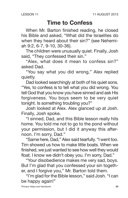#### **Time to Confess**

When Mr. Barton finished reading, he closed his Bible and asked, "What did the Israelites do when they heard about their sin?" (see Nehemiah 9:2, 6-7, 9-10, 30-36).

The children were unusually quiet. Finally, Josh said, "They confessed their sin."

"Alex, what does it mean to confess sin?" asked Dad.

"You say what you did wrong," Alex replied quietly.

Dad looked searchingly at both of his quiet sons. "Yes, to confess is to tell what you did wrong. You tell God that you know you have sinned and ask His forgiveness. You boys seem to be very quiet tonight. Is something troubling you?"

Josh looked at Alex. Alex glanced up at Josh. Finally, Josh spoke.

"I sinned, Dad, and this Bible lesson really hits home. You told me not to go to the pond without your permission, but I did it anyway this afternoon. I'm sorry, Dad."

"Same here, Dad," Alex said tearfully. "I went too. Tim showed us how to make little boats. When we finished, we just wanted to see how well they would float. I know we didn't obey you. I'm sorry, Dad."

"Your disobedience makes me very sad, boys. But I'm glad that you confessed your sin together, and I forgive you," Mr. Barton told them.

"I'm glad for the Bible lesson," said Josh. "I can be happy again!"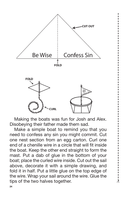

Making the boats was fun for Josh and Alex. Disobeying their father made them sad.

Make a simple boat to remind you that you need to confess any sin you might commit. Cut one nest section from an egg carton. Curl one end of a chenille wire in a circle that will fit inside the boat. Keep the other end straight to form the mast. Put a dab of glue in the bottom of your boat; place the curled wire inside. Cut out the sail above, decorate it with a simple drawing, and fold it in half. Put a little glue on the top edge of the wire. Wrap your sail around the wire. Glue the tips of the two halves together.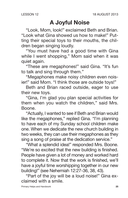#### **A Joyful Noise**

"Look, Mom, look!" exclaimed Beth and Brian. "Look what Gina showed us how to make!" Putting their special toys to their mouths, the children began singing loudly.

"You must have had a good time with Gina while I went shopping," Mom said when it was quiet again.

"These are megaphones!" said Gina. "It's fun to talk and sing through them."

"Megaphones make noisy children even noisier!" said Mom. "I think those are outside toys!"

Beth and Brian raced outside, eager to use their new toys.

"Gina, I'm glad you plan special activities for them when you watch the children," said Mrs. Boone.

"Actually, I wanted to see if Beth and Brian would like the megaphones," replied Gina. "I'm planning to have each of my Sunday school children make one. When we dedicate the new church building in two weeks, they can use their megaphones as they sing a song of praise at the dedication service."

"What a splendid idea!" responded Mrs. Boone. "We're so excited that the new building is finished. People have given a lot of money and worked hard to complete it. Now that the work is finished, we'll have a joyful time worshipping together in our new building!" (see Nehemiah 12:27-36, 38, 43).

"Part of the joy will be a loud noise!" Gina exclaimed with a smile.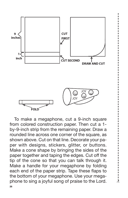

**26** To make a megaphone, cut a 9-inch square from colored construction paper. Then cut a 1 by-9-inch strip from the remaining paper. Draw a rounded line across one corner of the square, as shown above. Cut on that line. Decorate your paper with designs, stickers, glitter, or buttons. Make a cone shape by bringing the sides of the paper together and taping the edges. Cut off the tip of the cone so that you can talk through it. Make a handle for your megaphone by folding each end of the paper strip. Tape these flaps to the bottom of your megaphone. Use your megaphone to sing a joyful song of praise to the Lord.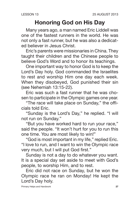#### **Honoring God on His Day**

Many years ago, a man named Eric Liddell was one of the fastest runners in the world. He was not only a fast runner, but he was also a dedicated believer in Jesus Christ.

Eric's parents were missionaries in China. They taught their children and the Chinese people to believe God's Word and to honor its teachings.

One important way to honor God is to keep the Lord's Day holy. God commanded the Israelites to rest and worship Him one day each week. When they disobeyed, God punished their sin (see Nehemiah 13:15-22).

Eric was such a fast runner that he was chosen to participate in the Olympic games one year.

"The race will take place on Sunday," the officials told Eric.

"Sunday is the Lord's Day," he replied. "I will not run on Sunday."

"But you have worked hard to run your race," said the people. "It won't hurt for you to run this one time. You are most likely to win!"

"God is most important in my life," replied Eric. "I love to run, and I want to win the Olympic race very much, but I will put God first."

Sunday is not a day to do whatever you want. It is a special day set aside to meet with God's people, to worship Him, and to rest.

Eric did not race on Sunday, but he won the Olympic race he ran on Monday! He kept the Lord's Day holy.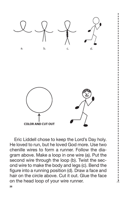

Eric Liddell chose to keep the Lord's Day holy. He loved to run, but he loved God more. Use two chenille wires to form a runner. Follow the diagram above. Make a loop in one wire (a). Put the second wire through the loop (b). Twist the second wire to make the body and legs (c). Bend the figure into a running position (d). Draw a face and hair on the circle above. Cut it out. Glue the face on the head loop of your wire runner.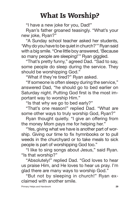## **What Is Worship?**

"I have a new joke for you, Dad!"

Ryan's father groaned teasingly. "What's your new joke, Ryan?"

"A Sunday school teacher asked her students, 'Why do you have to be quiet in church?'" Ryan said with a big smile. "One little boy answered, 'Because so many people are sleeping!'" Ryan giggled.

"That's pretty funny," agreed Dad. "Sad to say, some people do sleep during the service. They should be worshipping God."

"What if they're tired?" Ryan asked.

"If someone is often sleepy during the service," answered Dad, "he should go to bed earlier on Saturday night. Putting God first is the most important way to worship Him."

"Is that why we go to bed early?"

"That's one reason!" replied Dad. "What are some other ways to truly worship God, Ryan?"

Ryan thought quietly. "I give an offering from the money Mom pays me for helping her."

"Yes, giving what we have is another part of worship. Giving our time to fix hymnbooks or to pull weeds in the churchyard or to take meals to sick people is part of worshipping God too."

"I like to sing songs about Jesus," said Ryan. "Is that worship?"

"Absolutely!" replied Dad. "God loves to hear us praise Him, and He loves to hear us pray. I'm glad there are many ways to worship God."

"But not by sleeping in church!" Ryan exclaimed with another smile.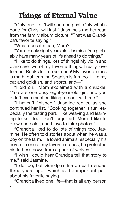# **Things of Eternal Value**

"Only one life, 'twill soon be past. Only what's done for Christ will last," Jasmine's mother read from the family album picture. "That was Grandpa's favorite saying."

"What does it mean, Mom?"

"You are only eight years old, Jasmine. You probably have many years of life ahead to do things."

"I like to do things, lots of things! My violin and piano are two of my favorite things. I really love to read. Books tell me so much! My favorite class is math, but learning Spanish is fun too. I like my cat and goldfish, and sports, and—"

"Hold on!" Mom exclaimed with a chuckle. "You are one busy eight-year-old girl, and you didn't even mention liking to cook with me."

"I haven't finished," Jasmine replied as she continued her list. "Cooking together is fun, especially the tasting part. I like weaving and learning to knit too. Don't forget art, Mom. I like to draw and color, and I love to take photos."

"Grandpa liked to do lots of things too, Jasmine. He often told stories about when he was a boy on the farm. He loved animals, especially his horse. In one of my favorite stories, he protected his father's cows from a pack of wolves."

"I wish I could hear Grandpa tell that story to me," said Jasmine.

"I do too, but Grandpa's life on earth ended three years ago—which is the important part about his favorite saying.

"Grandpa lived one life—that is all any person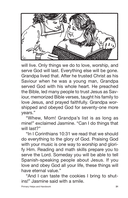

will live. Only things we do to love, worship, and serve God will last. Everything else will be gone. Grandpa lived that. After he trusted Christ as his Saviour when he was a young man, Grandpa served God with his whole heart. He preached the Bible, led many people to trust Jesus as Saviour, memorized Bible verses, taught his family to love Jesus, and prayed faithfully. Grandpa worshipped and obeyed God for seventy-one more years."

"Whew, Mom! Grandpa's list is as long as mine!" exclaimed Jasmine. "Can I do things that will last?"

"In I Corinthians 10:31 we read that we should do everything to the glory of God. Praising God with your music is one way to worship and glorify Him. Reading and math skills prepare you to serve the Lord. Someday you will be able to tell Spanish-speaking people about Jesus. If you love and obey God all your life, these things will have eternal value."

"And I can taste the cookies I bring to shutins!" Jasmine said with a smile.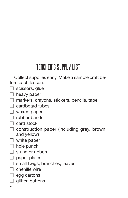# TEACHER'S SUPPLY LIST

Collect supplies early. Make a sample craft before each lesson.

- $\Box$  scissors, glue
- $\Box$  heavy paper
- $\Box$  markers, crayons, stickers, pencils, tape
- cardboard tubes
- $\Box$  waxed paper
- T rubber bands
- $\Box$  card stock
- $\Box$  construction paper (including gray, brown, and yellow)
- $\Box$  white paper
- $\Box$  hole punch
- $\Box$  string or ribbon
- $\Box$  paper plates
- $\Box$  small twigs, branches, leaves
- $\top$  chenille wire
- $\Box$  egg cartons
- $\Box$  glitter, buttons